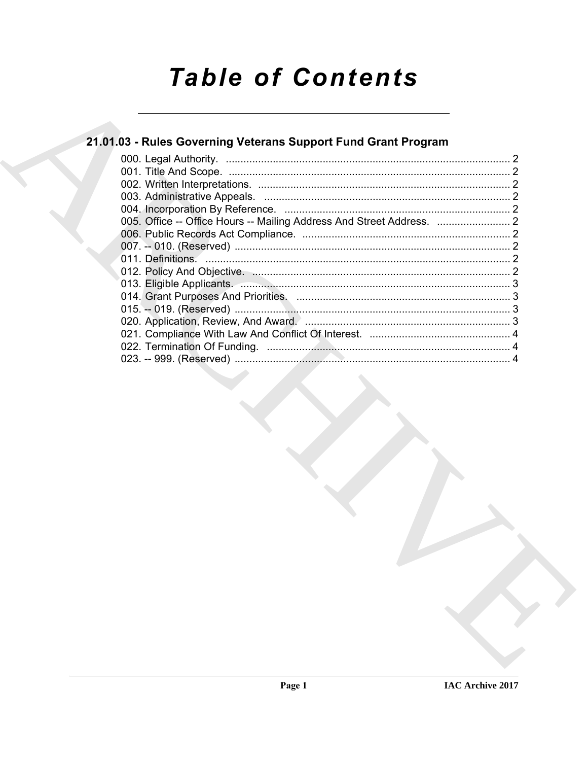# **Table of Contents**

# 21.01.03 - Rules Governing Veterans Support Fund Grant Program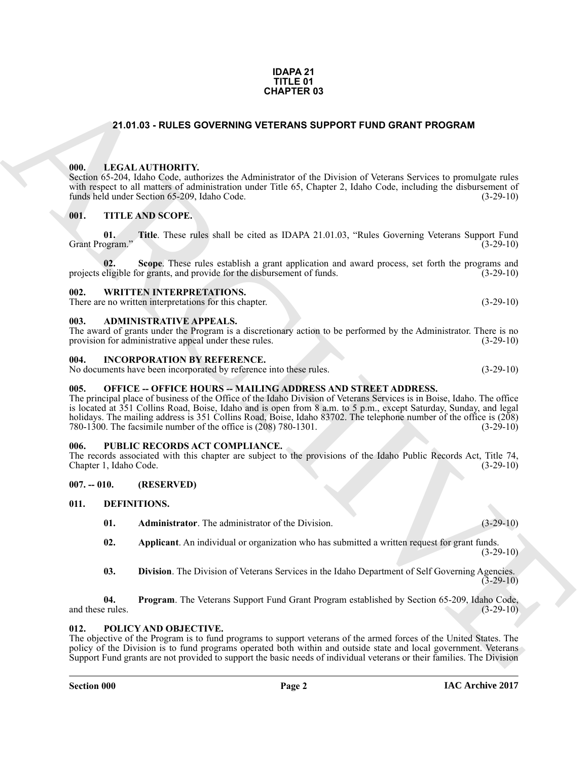#### **IDAPA 21 TITLE 01 CHAPTER 03**

#### **21.01.03 - RULES GOVERNING VETERANS SUPPORT FUND GRANT PROGRAM**

#### <span id="page-1-1"></span><span id="page-1-0"></span>**000. LEGAL AUTHORITY.**

Section 65-204, Idaho Code, authorizes the Administrator of the Division of Veterans Services to promulgate rules with respect to all matters of administration under Title 65, Chapter 2, Idaho Code, including the disbursement of funds held under Section 65-209, Idaho Code. (3-29-10)

#### <span id="page-1-2"></span>**001. TITLE AND SCOPE.**

**01.** Title. These rules shall be cited as IDAPA 21.01.03, "Rules Governing Veterans Support Fund ogram." (3-29-10) Grant Program."

**Scope**. These rules establish a grant application and award process, set forth the programs and provide for the disbursement of funds. (3-29-10) projects eligible for grants, and provide for the disbursement of funds.

#### <span id="page-1-3"></span>**002. WRITTEN INTERPRETATIONS.**

There are no written interpretations for this chapter. (3-29-10)

#### <span id="page-1-4"></span>**003. ADMINISTRATIVE APPEALS.**

The award of grants under the Program is a discretionary action to be performed by the Administrator. There is no provision for administrative appeal under these rules. (3-29-10) provision for administrative appeal under these rules.

#### <span id="page-1-5"></span>**004. INCORPORATION BY REFERENCE.**

No documents have been incorporated by reference into these rules. (3-29-10)

#### <span id="page-1-6"></span>**005. OFFICE -- OFFICE HOURS -- MAILING ADDRESS AND STREET ADDRESS.**

**21.01.03 - RULES GOVERNING VETERANS SUPPORT FUND GRANT PROGRAM**<br> **CHARCH ANTIFORMY**<br> **CHARCH ANTIFORMY**<br> **CHARCH ANTIFORMY CONSULTAINS SUPPORT FUND GRANT PROGRAM**<br> **CHARCH ANTIFORMY CHARCH ANTIFORMY CONSULTANTS**<br> **CHARCH** The principal place of business of the Office of the Idaho Division of Veterans Services is in Boise, Idaho. The office is located at 351 Collins Road, Boise, Idaho and is open from 8 a.m. to 5 p.m., except Saturday, Sunday, and legal holidays. The mailing address is 351 Collins Road, Boise, Idaho 83702. The telephone number of the office is (208) 780-1300. The facsimile number of the office is (208) 780-1301. 780-1300. The facsimile number of the office is  $(208)$  780-1301.

#### <span id="page-1-7"></span>**006. PUBLIC RECORDS ACT COMPLIANCE.**

The records associated with this chapter are subject to the provisions of the Idaho Public Records Act, Title 74, Chapter 1, Idaho Code. (3-29-10) Chapter 1, Idaho Code.

#### <span id="page-1-8"></span>**007. -- 010. (RESERVED)**

#### <span id="page-1-9"></span>**011. DEFINITIONS.**

- <span id="page-1-12"></span><span id="page-1-11"></span>**01. Administrator**. The administrator of the Division. (3-29-10)
- <span id="page-1-13"></span>**02. Applicant**. An individual or organization who has submitted a written request for grant funds. (3-29-10)
- <span id="page-1-15"></span><span id="page-1-14"></span>**03. Division**. The Division of Veterans Services in the Idaho Department of Self Governing Agencies.  $(3-29-10)$

**04. Program**. The Veterans Support Fund Grant Program established by Section 65-209, Idaho Code, and these rules. (3-29-10)

#### <span id="page-1-16"></span><span id="page-1-10"></span>**012. POLICY AND OBJECTIVE.**

The objective of the Program is to fund programs to support veterans of the armed forces of the United States. The policy of the Division is to fund programs operated both within and outside state and local government. Veterans Support Fund grants are not provided to support the basic needs of individual veterans or their families. The Division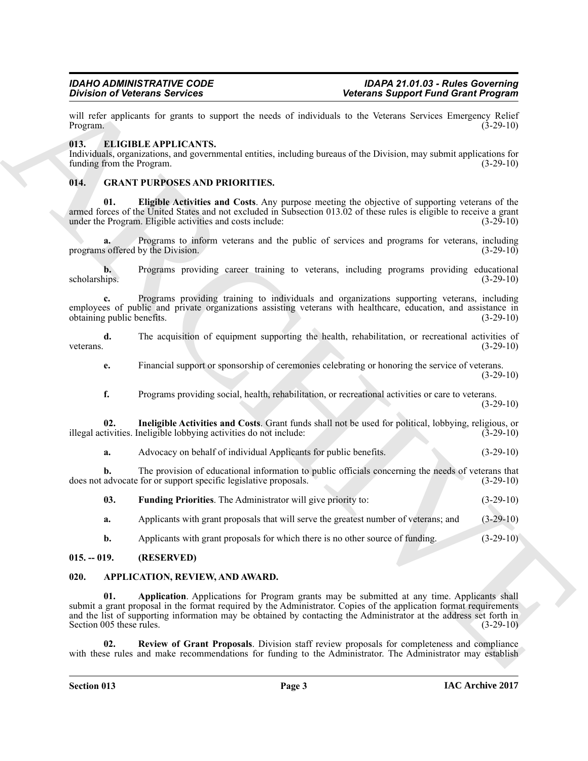will refer applicants for grants to support the needs of individuals to the Veterans Services Emergency Relief Program. (3-29-10) Program.  $(3-29-10)$ 

#### <span id="page-2-7"></span><span id="page-2-0"></span>**013. ELIGIBLE APPLICANTS.**

Individuals, organizations, and governmental entities, including bureaus of the Division, may submit applications for funding from the Program.

#### <span id="page-2-8"></span><span id="page-2-1"></span>**014. GRANT PURPOSES AND PRIORITIES.**

<span id="page-2-9"></span>**01. Eligible Activities and Costs**. Any purpose meeting the objective of supporting veterans of the armed forces of the United States and not excluded in Subsection 013.02 of these rules is eligible to receive a grant under the Program. Eligible activities and costs include: (3-29-10) under the Program. Eligible activities and costs include:

**a.** Programs to inform veterans and the public of services and programs for veterans, including programs offered by the Division. (3-29-10)

**b.** Programs providing career training to veterans, including programs providing educational scholarships. (3-29-10) scholarships. (3-29-10)

**c.** Programs providing training to individuals and organizations supporting veterans, including employees of public and private organizations assisting veterans with healthcare, education, and assistance in obtaining public benefits. (3-29-10) obtaining public benefits.

**d.** The acquisition of equipment supporting the health, rehabilitation, or recreational activities of veterans.  $(3-29-10)$ 

**e.** Financial support or sponsorship of ceremonies celebrating or honoring the service of veterans. (3-29-10)

<span id="page-2-11"></span>**f.** Programs providing social, health, rehabilitation, or recreational activities or care to veterans.  $(3-29-10)$ 

**02. Ineligible Activities and Costs**. Grant funds shall not be used for political, lobbying, religious, or illegal activities. Ineligible lobbying activities do not include: (3-29-10)

**a.** Advocacy on behalf of individual Applicants for public benefits. (3-29-10)

**b.** The provision of educational information to public officials concerning the needs of veterans that does not advocate for or support specific legislative proposals. (3-29-10)

<span id="page-2-10"></span>**03. Funding Priorities**. The Administrator will give priority to: (3-29-10)

**a.** Applicants with grant proposals that will serve the greatest number of veterans; and (3-29-10)

<span id="page-2-5"></span><span id="page-2-4"></span>**b.** Applicants with grant proposals for which there is no other source of funding.  $(3-29-10)$ 

#### <span id="page-2-2"></span>**015. -- 019. (RESERVED)**

#### <span id="page-2-3"></span>**020. APPLICATION, REVIEW, AND AWARD.**

Division of Determines Survives <br>
The second Survives Survey of the second technology in the second of the second of the second survey is the second of the second of the second of the second of the second of the second of **01. Application**. Applications for Program grants may be submitted at any time. Applicants shall submit a grant proposal in the format required by the Administrator. Copies of the application format requirements and the list of supporting information may be obtained by contacting the Administrator at the address set forth in Section  $005$  these rules.  $(3-29-10)$ 

<span id="page-2-6"></span>**02. Review of Grant Proposals**. Division staff review proposals for completeness and compliance with these rules and make recommendations for funding to the Administrator. The Administrator may establish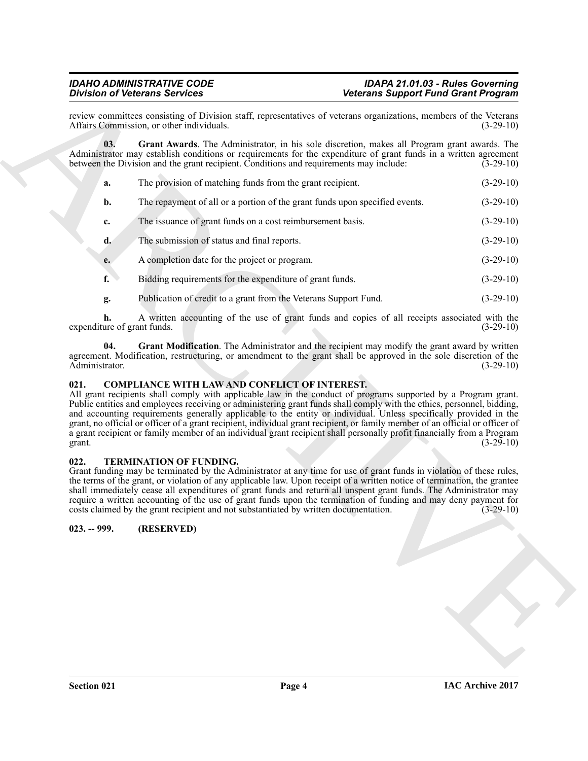#### <span id="page-3-3"></span>*IDAHO ADMINISTRATIVE CODE IDAPA 21.01.03 - Rules Governing Division of Veterans Services Veterans Support Fund Grant Program*

| <b>Division of Veterans Services</b> |                                                                                                                 |                                                                                                                                                                                                                                                                                                                                                                                                                                                                                                                                                                                                                          | <b>Veterans Support Fund Grant Program</b> |  |
|--------------------------------------|-----------------------------------------------------------------------------------------------------------------|--------------------------------------------------------------------------------------------------------------------------------------------------------------------------------------------------------------------------------------------------------------------------------------------------------------------------------------------------------------------------------------------------------------------------------------------------------------------------------------------------------------------------------------------------------------------------------------------------------------------------|--------------------------------------------|--|
|                                      | Affairs Commission, or other individuals.                                                                       | review committees consisting of Division staff, representatives of veterans organizations, members of the Veterans                                                                                                                                                                                                                                                                                                                                                                                                                                                                                                       | $(3-29-10)$                                |  |
| 03.                                  | between the Division and the grant recipient. Conditions and requirements may include:                          | Grant Awards. The Administrator, in his sole discretion, makes all Program grant awards. The<br>Administrator may establish conditions or requirements for the expenditure of grant funds in a written agreement                                                                                                                                                                                                                                                                                                                                                                                                         | $(3-29-10)$                                |  |
| a.                                   | The provision of matching funds from the grant recipient.                                                       |                                                                                                                                                                                                                                                                                                                                                                                                                                                                                                                                                                                                                          | $(3-29-10)$                                |  |
| b.                                   |                                                                                                                 | The repayment of all or a portion of the grant funds upon specified events.                                                                                                                                                                                                                                                                                                                                                                                                                                                                                                                                              | $(3-29-10)$                                |  |
| c.                                   | The issuance of grant funds on a cost reimbursement basis.                                                      |                                                                                                                                                                                                                                                                                                                                                                                                                                                                                                                                                                                                                          | $(3-29-10)$                                |  |
| d.                                   | The submission of status and final reports.                                                                     |                                                                                                                                                                                                                                                                                                                                                                                                                                                                                                                                                                                                                          | $(3-29-10)$                                |  |
| e.                                   | A completion date for the project or program.                                                                   |                                                                                                                                                                                                                                                                                                                                                                                                                                                                                                                                                                                                                          | $(3-29-10)$                                |  |
| f.                                   | Bidding requirements for the expenditure of grant funds.                                                        |                                                                                                                                                                                                                                                                                                                                                                                                                                                                                                                                                                                                                          | $(3-29-10)$                                |  |
| g.                                   | Publication of credit to a grant from the Veterans Support Fund.                                                |                                                                                                                                                                                                                                                                                                                                                                                                                                                                                                                                                                                                                          | $(3-29-10)$                                |  |
| h.<br>expenditure of grant funds.    |                                                                                                                 | A written accounting of the use of grant funds and copies of all receipts associated with the                                                                                                                                                                                                                                                                                                                                                                                                                                                                                                                            | $(3-29-10)$                                |  |
| 04.<br>Administrator.                |                                                                                                                 | Grant Modification. The Administrator and the recipient may modify the grant award by written<br>agreement. Modification, restructuring, or amendment to the grant shall be approved in the sole discretion of the                                                                                                                                                                                                                                                                                                                                                                                                       | $(3-29-10)$                                |  |
| 021.<br>grant.                       | <b>COMPLIANCE WITH LAW AND CONFLICT OF INTEREST.</b>                                                            | All grant recipients shall comply with applicable law in the conduct of programs supported by a Program grant.<br>Public entities and employees receiving or administering grant funds shall comply with the ethics, personnel, bidding,<br>and accounting requirements generally applicable to the entity or individual. Unless specifically provided in the<br>grant, no official or officer of a grant recipient, individual grant recipient, or family member of an official or officer of<br>a grant recipient or family member of an individual grant recipient shall personally profit financially from a Program | $(3-29-10)$                                |  |
| 022.                                 | TERMINATION OF FUNDING.<br>costs claimed by the grant recipient and not substantiated by written documentation. | Grant funding may be terminated by the Administrator at any time for use of grant funds in violation of these rules,<br>the terms of the grant, or violation of any applicable law. Upon receipt of a written notice of termination, the grantee<br>shall immediately cease all expenditures of grant funds and return all unspent grant funds. The Administrator may<br>require a written accounting of the use of grant funds upon the termination of funding and may deny payment for                                                                                                                                 | $(3-29-10)$                                |  |
| $023. - 999.$                        | (RESERVED)                                                                                                      |                                                                                                                                                                                                                                                                                                                                                                                                                                                                                                                                                                                                                          |                                            |  |
|                                      |                                                                                                                 |                                                                                                                                                                                                                                                                                                                                                                                                                                                                                                                                                                                                                          |                                            |  |
|                                      |                                                                                                                 |                                                                                                                                                                                                                                                                                                                                                                                                                                                                                                                                                                                                                          |                                            |  |
|                                      |                                                                                                                 |                                                                                                                                                                                                                                                                                                                                                                                                                                                                                                                                                                                                                          |                                            |  |
|                                      |                                                                                                                 |                                                                                                                                                                                                                                                                                                                                                                                                                                                                                                                                                                                                                          |                                            |  |
|                                      |                                                                                                                 |                                                                                                                                                                                                                                                                                                                                                                                                                                                                                                                                                                                                                          |                                            |  |
|                                      |                                                                                                                 |                                                                                                                                                                                                                                                                                                                                                                                                                                                                                                                                                                                                                          |                                            |  |

### <span id="page-3-5"></span><span id="page-3-4"></span><span id="page-3-0"></span>**021. COMPLIANCE WITH LAW AND CONFLICT OF INTEREST.**

#### <span id="page-3-6"></span><span id="page-3-1"></span>**022. TERMINATION OF FUNDING.**

# <span id="page-3-2"></span>**023. -- 999. (RESERVED)**